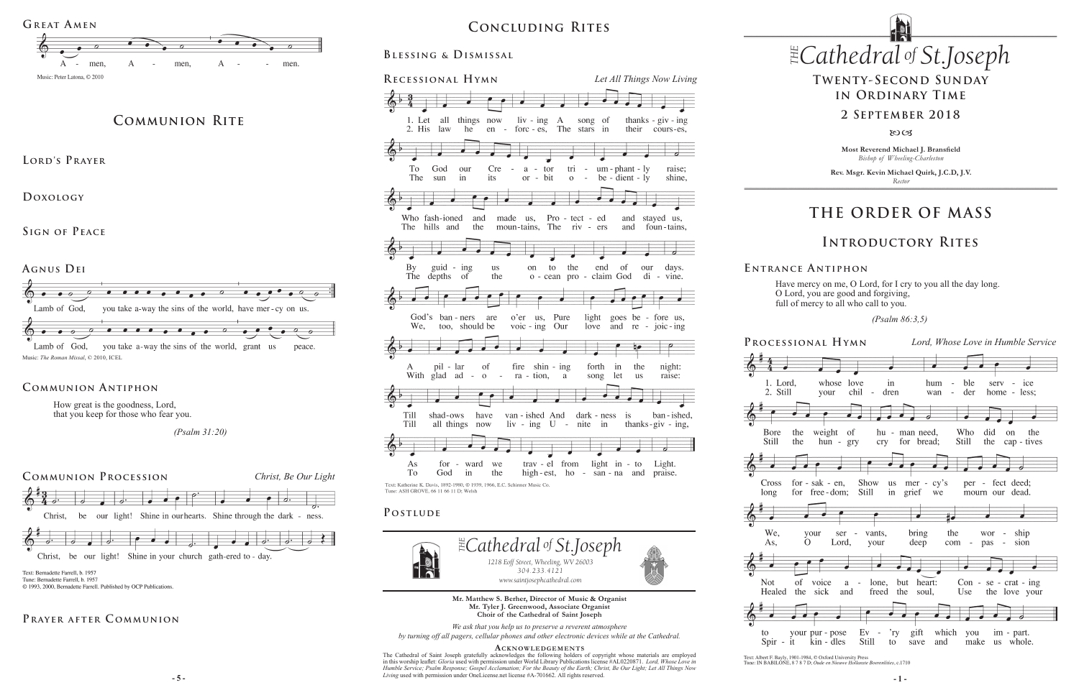*www.saintjosephcathedral.com* **Mr. Matthew S. Berher, Director of Music & Organist Mr. Tyler J. Greenwood, Associate Organist Choir of the Cathedral of Saint Joseph**

*We ask that you help us to preserve a reverent atmosphere by turning off all pagers, cellular phones and other electronic devices while at the Cathedral.*

#### **Acknowledgement s**

**- 5 - - 1 -** *Living* used with permission under OneLicense.net license #A-701662. All rights reserved. The Cathedral of Saint Joseph gratefully acknowledges the following holders of copyright whose materials are employed<br>in this worship leaflet: Gloria used with permission under World Library Publications license #AL0220871

# $CONCLUDING RITES$  *Cathedral St THE of .Joseph* **Concluding Rites**



# **THE ORDER OF MASS**

## **Introductory Rites**





Have mercy on me, O Lord, for I cry to you all the day long. O Lord, you are good and forgiving, full of mercy to all who call to you.

 *(Psalm 86:3,5)* 

Text: Albert F. Bayly, 1901-1984, © Oxford University Press<br>Tune: IN BABILONE, 8 7 8 7 D; Oude en Nieuwe Hollanste ste Roerenlities c 1710

#### **E ntrance A ntiphon**

**Blessing & Dismissal**



**Most Reverend Michael J. Bransfield** *Bishop of Wheeling-Charleston*

**Rev. Msgr. Kevin Michael Quirk, J.C.D, J.V.** *Rector*

# **Twenty-Second Sunday in Ordinary Time**

### **2 September 2018**

 $80C<sub>3</sub>$